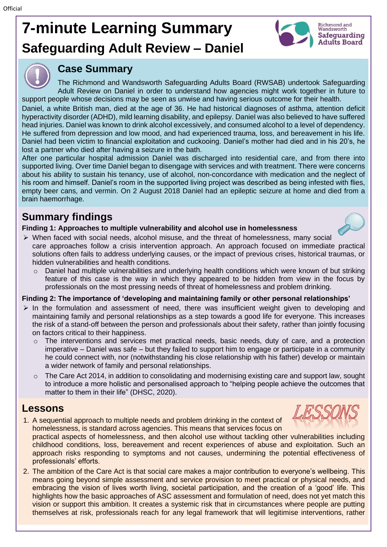# **7-minute Learning Summary Safeguarding Adult Review – Daniel**



### **Case Summary**

The Richmond and Wandsworth Safeguarding Adults Board (RWSAB) undertook Safeguarding Adult Review on Daniel in order to understand how agencies might work together in future to support people whose decisions may be seen as unwise and having serious outcome for their health.

Daniel, a white British man, died at the age of 36. He had historical diagnoses of asthma, attention deficit hyperactivity disorder (ADHD), mild learning disability, and epilepsy. Daniel was also believed to have suffered head injuries. Daniel was known to drink alcohol excessively, and consumed alcohol to a level of dependency. He suffered from depression and low mood, and had experienced trauma, loss, and bereavement in his life. Daniel had been victim to financial exploitation and cuckooing. Daniel's mother had died and in his 20's, he lost a partner who died after having a seizure in the bath.

After one particular hospital admission Daniel was discharged into residential care, and from there into supported living. Over time Daniel began to disengage with services and with treatment. There were concerns about his ability to sustain his tenancy, use of alcohol, non-concordance with medication and the neglect of his room and himself. Daniel's room in the supported living project was described as being infested with flies, empty beer cans, and vermin. On 2 August 2018 Daniel had an epileptic seizure at home and died from a brain haemorrhage.

# **Summary findings**

#### **Finding 1: Approaches to multiple vulnerability and alcohol use in homelessness**



- ➢ When faced with social needs, alcohol misuse, and the threat of homelessness, many social care approaches follow a crisis intervention approach. An approach focused on immediate practical solutions often fails to address underlying causes, or the impact of previous crises, historical traumas, or hidden vulnerabilities and health conditions.
	- o Daniel had multiple vulnerabilities and underlying health conditions which were known of but striking feature of this case is the way in which they appeared to be hidden from view in the focus by professionals on the most pressing needs of threat of homelessness and problem drinking.

#### **Finding 2: The importance of 'developing and maintaining family or other personal relationships'**

- $\triangleright$  In the formulation and assessment of need, there was insufficient weight given to developing and maintaining family and personal relationships as a step towards a good life for everyone. This increases the risk of a stand-off between the person and professionals about their safety, rather than jointly focusing on factors critical to their happiness.
	- $\circ$  The interventions and services met practical needs, basic needs, duty of care, and a protection imperative – Daniel was safe – but they failed to support him to engage or participate in a community he could connect with, nor (notwithstanding his close relationship with his father) develop or maintain a wider network of family and personal relationships.
	- $\circ$  The Care Act 2014, in addition to consolidating and modernising existing care and support law, sought to introduce a more holistic and personalised approach to "helping people achieve the outcomes that matter to them in their life" (DHSC, 2020).

## **Lessons**

1. A sequential approach to multiple needs and problem drinking in the context of homelessness, is standard across agencies. This means that services focus on



2. The ambition of the Care Act is that social care makes a major contribution to everyone's wellbeing. This means going beyond simple assessment and service provision to meet practical or physical needs, and embracing the vision of lives worth living, societal participation, and the creation of a 'good' life. This highlights how the basic approaches of ASC assessment and formulation of need, does not yet match this vision or support this ambition. It creates a systemic risk that in circumstances where people are putting themselves at risk, professionals reach for any legal framework that will legitimise interventions, rather